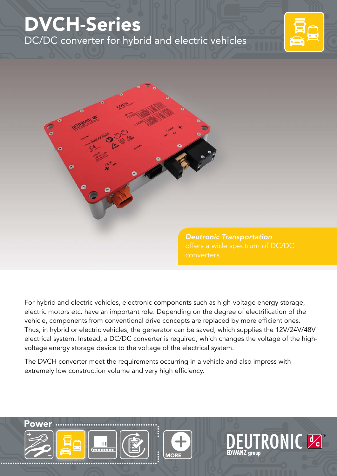## DVCH-Series DC/DC converter for hybrid and electric vehicles



**TRONIC &** 



For hybrid and electric vehicles, electronic components such as high-voltage energy storage, electric motors etc. have an important role. Depending on the degree of electrification of the vehicle, components from conventional drive concepts are replaced by more efficient ones. Thus, in hybrid or electric vehicles, the generator can be saved, which supplies the 12V/24V/48V electrical system. Instead, a DC/DC converter is required, which changes the voltage of the highvoltage energy storage device to the voltage of the electrical system.

The DVCH converter meet the requirements occurring in a vehicle and also impress with extremely low construction volume and very high efficiency.